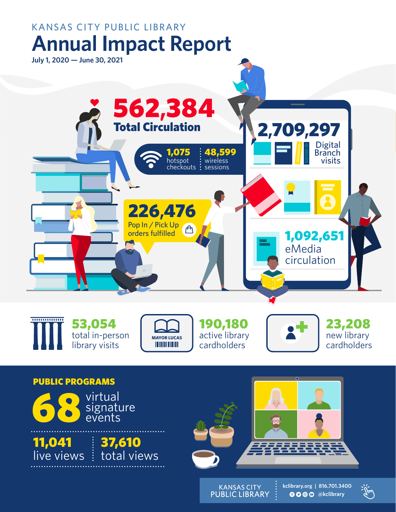